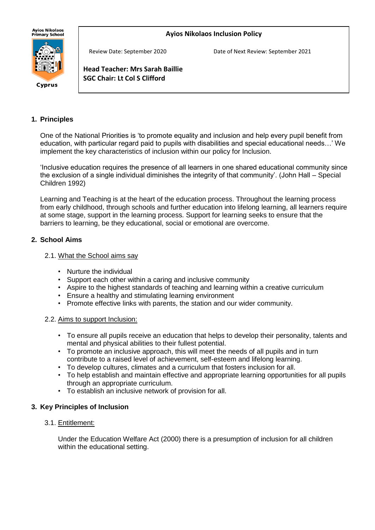## **Ayios Nikolaos Inclusion Policy**



Cyprus

Review Date: September 2020 Date of Next Review: September 2021

**Head Teacher: Mrs Sarah Baillie SGC Chair: Lt Col S Clifford**

֪ׅ֚֬֝֬֝֬֝֬֝֬֝֬֝

### **1. Principles**

One of the National Priorities is 'to promote equality and inclusion and help every pupil benefit from education, with particular regard paid to pupils with disabilities and special educational needs…' We implement the key characteristics of inclusion within our policy for Inclusion.

'Inclusive education requires the presence of all learners in one shared educational community since the exclusion of a single individual diminishes the integrity of that community'. (John Hall – Special Children 1992)

Learning and Teaching is at the heart of the education process. Throughout the learning process from early childhood, through schools and further education into lifelong learning, all learners require at some stage, support in the learning process. Support for learning seeks to ensure that the barriers to learning, be they educational, social or emotional are overcome.

### **2. School Aims**

#### 2.1. What the School aims say

- Nurture the individual
- Support each other within a caring and inclusive community
- Aspire to the highest standards of teaching and learning within a creative curriculum
- Ensure a healthy and stimulating learning environment
- Promote effective links with parents, the station and our wider community.

#### 2.2. Aims to support Inclusion:

- To ensure all pupils receive an education that helps to develop their personality, talents and mental and physical abilities to their fullest potential.
- To promote an inclusive approach, this will meet the needs of all pupils and in turn contribute to a raised level of achievement, self-esteem and lifelong learning.
- To develop cultures, climates and a curriculum that fosters inclusion for all.
- To help establish and maintain effective and appropriate learning opportunities for all pupils through an appropriate curriculum.
- To establish an inclusive network of provision for all.

### **3. Key Principles of Inclusion**

### 3.1. Entitlement:

Under the Education Welfare Act (2000) there is a presumption of inclusion for all children within the educational setting.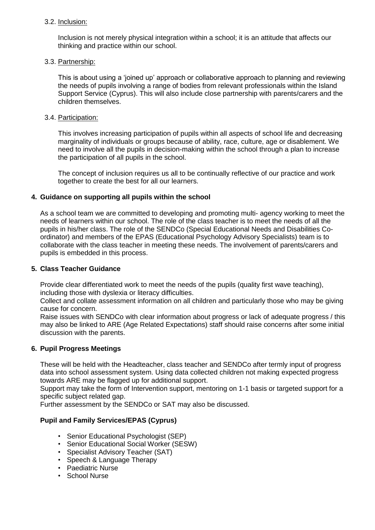### 3.2. Inclusion:

Inclusion is not merely physical integration within a school; it is an attitude that affects our thinking and practice within our school.

### 3.3. Partnership:

This is about using a 'joined up' approach or collaborative approach to planning and reviewing the needs of pupils involving a range of bodies from relevant professionals within the Island Support Service (Cyprus). This will also include close partnership with parents/carers and the children themselves.

#### 3.4. Participation:

This involves increasing participation of pupils within all aspects of school life and decreasing marginality of individuals or groups because of ability, race, culture, age or disablement. We need to involve all the pupils in decision-making within the school through a plan to increase the participation of all pupils in the school.

The concept of inclusion requires us all to be continually reflective of our practice and work together to create the best for all our learners.

### **4. Guidance on supporting all pupils within the school**

As a school team we are committed to developing and promoting multi- agency working to meet the needs of learners within our school. The role of the class teacher is to meet the needs of all the pupils in his/her class. The role of the SENDCo (Special Educational Needs and Disabilities Coordinator) and members of the EPAS (Educational Psychology Advisory Specialists) team is to collaborate with the class teacher in meeting these needs. The involvement of parents/carers and pupils is embedded in this process.

#### **5. Class Teacher Guidance**

Provide clear differentiated work to meet the needs of the pupils (quality first wave teaching), including those with dyslexia or literacy difficulties.

Collect and collate assessment information on all children and particularly those who may be giving cause for concern.

Raise issues with SENDCo with clear information about progress or lack of adequate progress / this may also be linked to ARE (Age Related Expectations) staff should raise concerns after some initial discussion with the parents.

### **6. Pupil Progress Meetings**

These will be held with the Headteacher, class teacher and SENDCo after termly input of progress data into school assessment system. Using data collected children not making expected progress towards ARE may be flagged up for additional support.

Support may take the form of Intervention support, mentoring on 1-1 basis or targeted support for a specific subject related gap.

Further assessment by the SENDCo or SAT may also be discussed.

### **Pupil and Family Services/EPAS (Cyprus)**

- Senior Educational Psychologist (SEP)
- Senior Educational Social Worker (SESW)
- Specialist Advisory Teacher (SAT)
- Speech & Language Therapy
- Paediatric Nurse
- School Nurse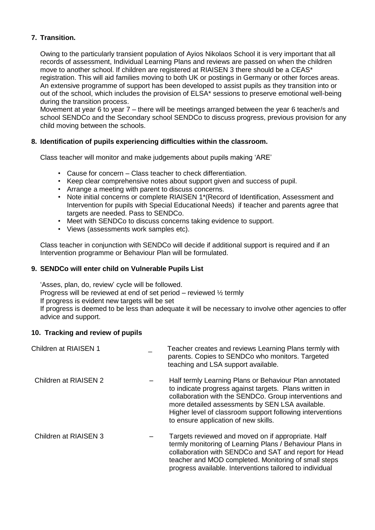# **7. Transition.**

Owing to the particularly transient population of Ayios Nikolaos School it is very important that all records of assessment, Individual Learning Plans and reviews are passed on when the children move to another school. If children are registered at RIAISEN 3 there should be a CEAS\* registration. This will aid families moving to both UK or postings in Germany or other forces areas. An extensive programme of support has been developed to assist pupils as they transition into or out of the school, which includes the provision of ELSA\* sessions to preserve emotional well-being during the transition process.

Movement at year 6 to year 7 – there will be meetings arranged between the year 6 teacher/s and school SENDCo and the Secondary school SENDCo to discuss progress, previous provision for any child moving between the schools.

# **8. Identification of pupils experiencing difficulties within the classroom.**

Class teacher will monitor and make judgements about pupils making 'ARE'

- Cause for concern Class teacher to check differentiation.
- Keep clear comprehensive notes about support given and success of pupil.
- Arrange a meeting with parent to discuss concerns.
- Note initial concerns or complete RIAISEN 1\*(Record of Identification, Assessment and Intervention for pupils with Special Educational Needs) if teacher and parents agree that targets are needed. Pass to SENDCo.
- Meet with SENDCo to discuss concerns taking evidence to support.
- Views (assessments work samples etc).

Class teacher in conjunction with SENDCo will decide if additional support is required and if an Intervention programme or Behaviour Plan will be formulated.

## **9. SENDCo will enter child on Vulnerable Pupils List**

'Asses, plan, do, review' cycle will be followed. Progress will be reviewed at end of set period – reviewed ½ termly If progress is evident new targets will be set If progress is deemed to be less than adequate it will be necessary to involve other agencies to offer advice and support.

### **10. Tracking and review of pupils**

| <b>Children at RIAISEN 1</b> | Teacher creates and reviews Learning Plans termly with<br>parents. Copies to SENDCo who monitors. Targeted<br>teaching and LSA support available.                                                                                                                                                                                  |
|------------------------------|------------------------------------------------------------------------------------------------------------------------------------------------------------------------------------------------------------------------------------------------------------------------------------------------------------------------------------|
| Children at RIAISEN 2        | Half termly Learning Plans or Behaviour Plan annotated<br>to indicate progress against targets. Plans written in<br>collaboration with the SENDCo. Group interventions and<br>more detailed assessments by SEN LSA available.<br>Higher level of classroom support following interventions<br>to ensure application of new skills. |
| Children at RIAISEN 3        | Targets reviewed and moved on if appropriate. Half<br>termly monitoring of Learning Plans / Behaviour Plans in<br>collaboration with SENDCo and SAT and report for Head<br>teacher and MOD completed. Monitoring of small steps<br>progress available. Interventions tailored to individual                                        |